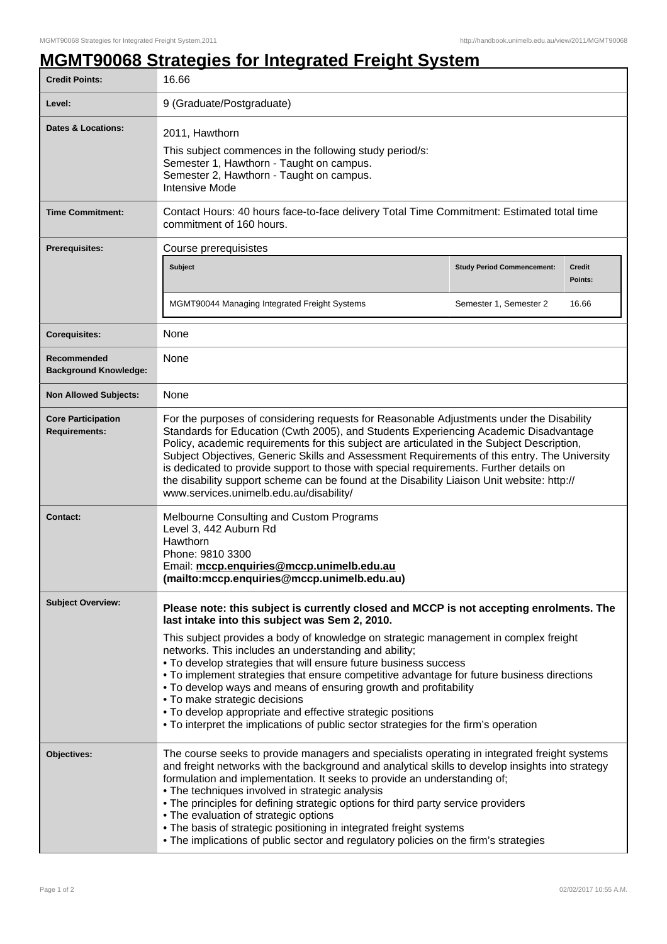## **MGMT90068 Strategies for Integrated Freight System**

| <b>Credit Points:</b>                             | 16.66                                                                                                                                                                                                                                                                                                                                                                                                                                                                                                                                                                                                                                                                                                                   |                                   |                          |  |
|---------------------------------------------------|-------------------------------------------------------------------------------------------------------------------------------------------------------------------------------------------------------------------------------------------------------------------------------------------------------------------------------------------------------------------------------------------------------------------------------------------------------------------------------------------------------------------------------------------------------------------------------------------------------------------------------------------------------------------------------------------------------------------------|-----------------------------------|--------------------------|--|
| Level:                                            | 9 (Graduate/Postgraduate)                                                                                                                                                                                                                                                                                                                                                                                                                                                                                                                                                                                                                                                                                               |                                   |                          |  |
| <b>Dates &amp; Locations:</b>                     | 2011, Hawthorn<br>This subject commences in the following study period/s:<br>Semester 1, Hawthorn - Taught on campus.<br>Semester 2, Hawthorn - Taught on campus.<br><b>Intensive Mode</b>                                                                                                                                                                                                                                                                                                                                                                                                                                                                                                                              |                                   |                          |  |
| <b>Time Commitment:</b>                           | Contact Hours: 40 hours face-to-face delivery Total Time Commitment: Estimated total time<br>commitment of 160 hours.                                                                                                                                                                                                                                                                                                                                                                                                                                                                                                                                                                                                   |                                   |                          |  |
| <b>Prerequisites:</b>                             | Course prerequisistes                                                                                                                                                                                                                                                                                                                                                                                                                                                                                                                                                                                                                                                                                                   |                                   |                          |  |
|                                                   | Subject                                                                                                                                                                                                                                                                                                                                                                                                                                                                                                                                                                                                                                                                                                                 | <b>Study Period Commencement:</b> | <b>Credit</b><br>Points: |  |
|                                                   | MGMT90044 Managing Integrated Freight Systems                                                                                                                                                                                                                                                                                                                                                                                                                                                                                                                                                                                                                                                                           | Semester 1, Semester 2            | 16.66                    |  |
| <b>Corequisites:</b>                              | None                                                                                                                                                                                                                                                                                                                                                                                                                                                                                                                                                                                                                                                                                                                    |                                   |                          |  |
| Recommended<br><b>Background Knowledge:</b>       | None                                                                                                                                                                                                                                                                                                                                                                                                                                                                                                                                                                                                                                                                                                                    |                                   |                          |  |
| <b>Non Allowed Subjects:</b>                      | None                                                                                                                                                                                                                                                                                                                                                                                                                                                                                                                                                                                                                                                                                                                    |                                   |                          |  |
| <b>Core Participation</b><br><b>Requirements:</b> | For the purposes of considering requests for Reasonable Adjustments under the Disability<br>Standards for Education (Cwth 2005), and Students Experiencing Academic Disadvantage<br>Policy, academic requirements for this subject are articulated in the Subject Description,<br>Subject Objectives, Generic Skills and Assessment Requirements of this entry. The University<br>is dedicated to provide support to those with special requirements. Further details on<br>the disability support scheme can be found at the Disability Liaison Unit website: http://<br>www.services.unimelb.edu.au/disability/                                                                                                       |                                   |                          |  |
| <b>Contact:</b>                                   | Melbourne Consulting and Custom Programs<br>Level 3, 442 Auburn Rd<br>Hawthorn<br>Phone: 9810 3300<br>Email: mccp.enquiries@mccp.unimelb.edu.au<br>(mailto:mccp.enquiries@mccp.unimelb.edu.au)                                                                                                                                                                                                                                                                                                                                                                                                                                                                                                                          |                                   |                          |  |
| <b>Subject Overview:</b>                          | Please note: this subject is currently closed and MCCP is not accepting enrolments. The<br>last intake into this subject was Sem 2, 2010.<br>This subject provides a body of knowledge on strategic management in complex freight<br>networks. This includes an understanding and ability;<br>. To develop strategies that will ensure future business success<br>• To implement strategies that ensure competitive advantage for future business directions<br>. To develop ways and means of ensuring growth and profitability<br>• To make strategic decisions<br>• To develop appropriate and effective strategic positions<br>• To interpret the implications of public sector strategies for the firm's operation |                                   |                          |  |
| Objectives:                                       | The course seeks to provide managers and specialists operating in integrated freight systems<br>and freight networks with the background and analytical skills to develop insights into strategy<br>formulation and implementation. It seeks to provide an understanding of;<br>• The techniques involved in strategic analysis<br>. The principles for defining strategic options for third party service providers<br>• The evaluation of strategic options<br>. The basis of strategic positioning in integrated freight systems<br>. The implications of public sector and regulatory policies on the firm's strategies                                                                                             |                                   |                          |  |